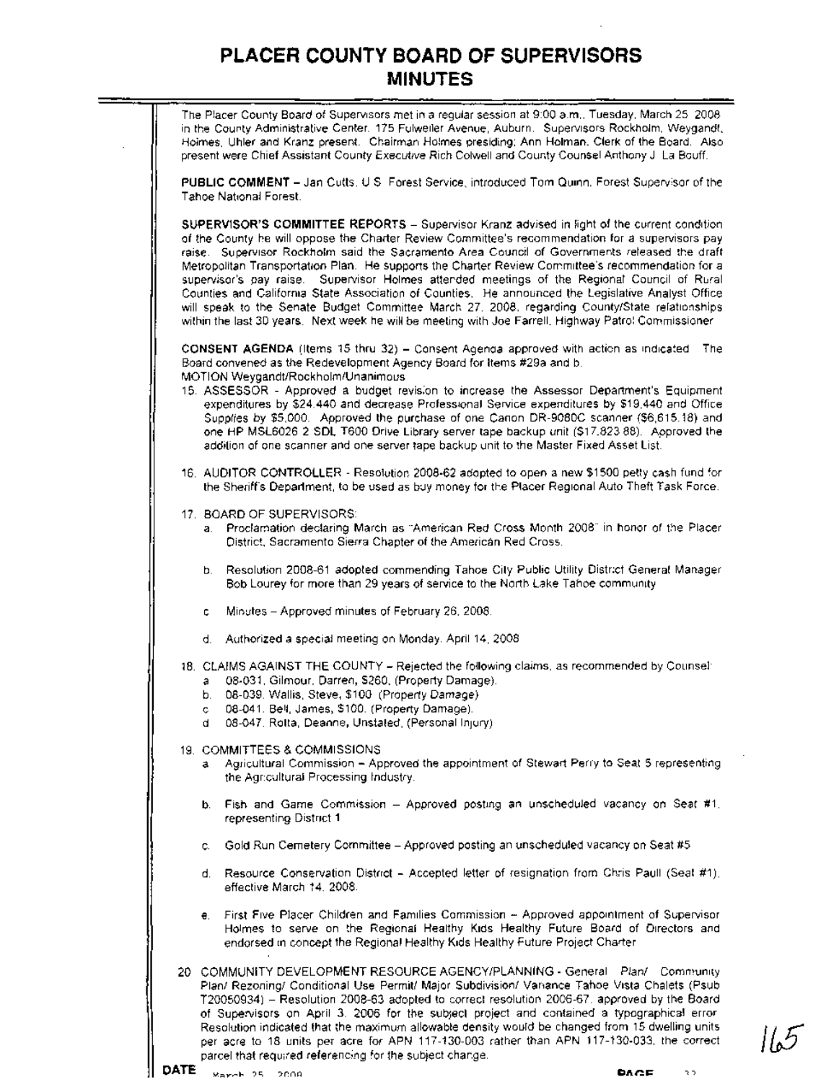The Placer County Board of Supervisors met in a regular session at 9:00 a.m., Tuesday, March 25,2008, in the County Administrative Center, 175 Fulweiler Avenue, Auburn. Supervisors Rockholm, Weygandt, Holmes, Uhler and Kranz present. Chairman Holmes presiding; Ann Holman, Clerk of the Board. Also present were Chief Assistant County Executive Rich Colwell and County Counsel Anthony J. La Bouff. **PUBLIC COMMENT -** Jan Cutts, US. Forest Service, introduced Tom Quinn, Forest Supervisor of the Tahoe National Forest. **SUPERVISOR'S COMMITTEE REPORTS -** Supervisor Kranz advised in light of the current condition of the County he will oppose the Charter Review Committee's recommendation for a supervisors pay raise. Supervisor Rockholm said the Sacramento Area Council of Governments released the draft Metropolitan Transportation Plan. He supports the Charter Review Committee's recommendation for a supervisor's pay raise. Supervisor Holmes attended meetings of the Regional Council of Rural Counties and California State Association of Counties. He announced the Legislative Analyst Office will speak to the Senate Budget Committee March 27, 2008, regarding County/State relationships within the last 30 years. Next week he will be meeting with Joe Farrell, Highway Patrol Commissioner **CONSENT AGENDA** (Items 15 thru 32) - Consent Agenda approved with action as indicated The Board convened as the Redevelopment Agency Board for Items #29a and b. MOTION Weygandt!Rockholm/Unanimous 15. ASSESSOR - Approved a budget revision to increase the Assessor Department's Equipment expenditures by \$24,440 and decrease Professional Service expenditures by \$19,440 and Office Supplies by \$5,000. Approved the purchase of one Canon DR-9080C scanner (\$6,615.18) and one HP MSL6026 2 SOL T600 Drive Library server tape backup unit (\$17,823.88). Approved the addition of one scanner and one server tape backup unit to the Master Fixed Asset List. 16. AUDITOR CONTROLLER - Resolution 2008-62 adopted to open a new \$1500 petty cash fund for the Sheriff's Department, to be used as buy money for the Placer Regional Auto Theft Task Force 17. BOARD OF SUPERVISORS: a. Proclamation declaring March as "American Red Cross Month 2008" in honor of the Placer District, Sacramento Sierra Chapter of the American Red Cross. b. Resolution 2008-61 adopted commending Tahoe City Public Utility District General Manager Bob Lourey for more than 29 years of service to the North Lake Tahoe community. c. Minutes - Approved minutes of February 26, 2008. d. Authorized a special-meeting on Monday, April 14, 2008 18. CLAIMS AGAINST THE COUNTY - Rejected the following claims, as recommended by Counsel: a. 08-031, Gilmour, Darren, \$260, (Property Damage). b. 08-039, Wallis, Steve, \$100, (Property Damage). c 08-041, Bell, James, \$1 00, (Property Damage). d. 08-047, Rotta, Deanne, Unstated, (Personal Injury). 19. COMMITTEES & COMMISSIONS a. Agricultural Commission - Approved the appointment of Stewart Perry to Seat 5 representing the Agricultural Processing Industry. b. Fish and Game Commission - Approved posting an unscheduled vacancy on Seat #1, representing District 1. c. Gold Run Cemetery Committee - Approved posting an unscheduled vacancy on Seat #5. d. Resource Conservation District - Accepted letter of resignation from Chris Paull (Seat #1), effective March 14, 2008. e. First Five Placer Children and Families Commission - Approved appointment of Supervisor Holmes to serve on the Regional Healthy Kids Healthy Future Board of Directors and endorsed in concept the Regional Healthy Kids Healthy Future Project Charter. 20. COMMUNITY DEVELOPMENT RESOURCE AGENCY/PLANNING - General Plan/ Community Plan/ Rezoning/ Conditional Use Permit/ Major Subdivision/ Vanance Tahoe Vista Chalets (Psub T20050934)- Resolution 2008-63 adopted to correct resolution 2006-67, approved by the Board of Supervisors on April 3, 2006 for the subject project and contained a typographical error. Resolution indicated that the maximum allowable density would be changed from 15 dwelling units

per acre to 18 units per acre for APN 117-130-003 rather than APN 117-130-033, the correct

parcel that required referencing for the subject change.

**ItS**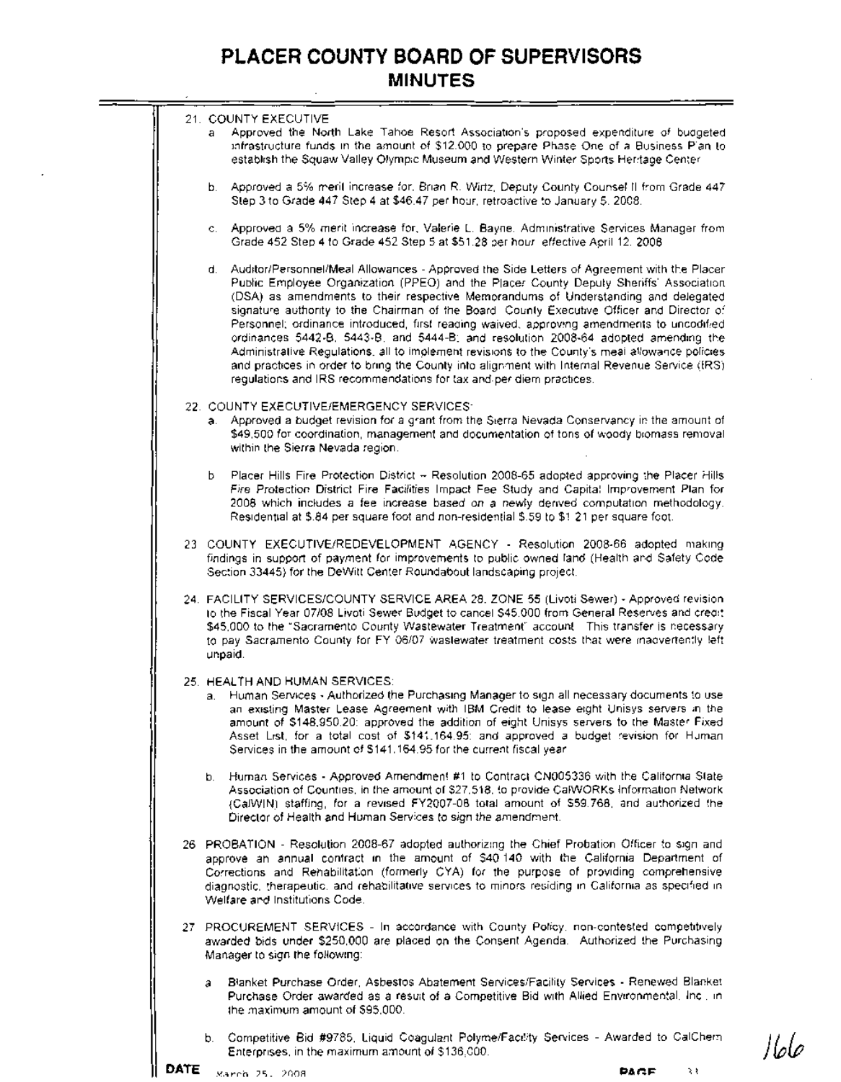|  | 21. COUNTY EXECUTIVE<br>Approved the North Lake Tahoe Resort Association's proposed expenditure of budgeted<br>a.<br>infrastructure funds in the amount of \$12,000 to prepare Phase One of a Business Plan to<br>establish the Squaw Valley Olympic Museum and Western Winter Sports Heritage Center                                                                                                                                                                                                                                                                                                                                                                                                                                                                                                                                      |
|--|--------------------------------------------------------------------------------------------------------------------------------------------------------------------------------------------------------------------------------------------------------------------------------------------------------------------------------------------------------------------------------------------------------------------------------------------------------------------------------------------------------------------------------------------------------------------------------------------------------------------------------------------------------------------------------------------------------------------------------------------------------------------------------------------------------------------------------------------|
|  | b. Approved a 5% merit increase for, Brian R. Wirtz, Deputy County Counsel II from Grade 447.<br>Step 3 to Grade 447 Step 4 at \$46.47 per hour, retroactive to January 5, 2008.                                                                                                                                                                                                                                                                                                                                                                                                                                                                                                                                                                                                                                                           |
|  | c. Approved a 5% merit increase for, Valerie L. Bayne. Administrative Services Manager from<br>Grade 452 Step 4 to Grade 452 Step 5 at \$51.28 per hour effective April 12, 2008.                                                                                                                                                                                                                                                                                                                                                                                                                                                                                                                                                                                                                                                          |
|  | d. Auditor/Personnel/Meal Allowances - Approved the Side Letters of Agreement with the Placer<br>Public Employee Organization (PPEO) and the Placer County Deputy Sheriffs' Association<br>(DSA) as amendments to their respective Memorandums of Understanding and delegated<br>signature authority to the Chairman of the Board. County Executive Officer and Director of<br>Personnel; ordinance introduced, first reading waived, approving amendments to uncodified<br>ordinances 5442-B, 5443-B, and 5444-B; and resolution 2008-64 adopted amending the<br>Administrative Regulations, all to implement revisions to the County's meal allowance policies.<br>and practices in order to bring the County into alignment with Internal Revenue Service (IRS).<br>regulations and IRS recommendations for tax and per diem practices. |
|  | 22. COUNTY EXECUTIVE/EMERGENCY SERVICES:<br>a. Approved a budget revision for a grant from the Sierra Nevada Conservancy in the amount of<br>\$49,500 for coordination, management and documentation of tons of woody biomass removal<br>within the Sierra Nevada region.                                                                                                                                                                                                                                                                                                                                                                                                                                                                                                                                                                  |
|  | Ь.<br>Placer Hills Fire Protection District - Resolution 2008-65 adopted approving the Placer Hills<br>Fire Protection District Fire Facilities Impact Fee Study and Capital Improvement Plan for<br>2008 which includes a fee increase based on a newly derived computation methodology.<br>Residential at \$.84 per square foot and non-residential \$.59 to \$1.21 per square foot.                                                                                                                                                                                                                                                                                                                                                                                                                                                     |
|  | 23 COUNTY EXECUTIVE/REDEVELOPMENT AGENCY - Resolution 2008-66 adopted making<br>findings in support of payment for improvements to public owned land (Health and Safety Code<br>Section 33445) for the DeWitt Center Roundabout landscaping project.                                                                                                                                                                                                                                                                                                                                                                                                                                                                                                                                                                                       |
|  | 24. FACILITY SERVICES/COUNTY SERVICE AREA 28. ZONE 55 (Livoti Sewer) - Approved revision.<br>to the Fiscal Year 07/08 Livoti Sewer Budget to cancel \$45,000 from General Reserves and credit<br>\$45,000 to the "Sacramento County Wastewater Treatment" account This transfer is necessary<br>to pay Sacramento County for FY 06/07 wastewater treatment costs that were madvertently left<br>unpaid.                                                                                                                                                                                                                                                                                                                                                                                                                                    |
|  | 25. HEALTH AND HUMAN SERVICES: I<br>a. Human Services - Authorized the Purchasing Manager to sign all necessary documents to use<br>an existing Master Lease Agreement with IBM Credit to lease eight Unisys servers in the<br>amount of \$148,950.20: approved the addition of eight Unisys servers to the Master Fixed<br>Asset List, for a total cost of \$141.164.95: and approved a budget revision for Human<br>Services in the amount of \$141.164.95 for the current fiscal year.                                                                                                                                                                                                                                                                                                                                                  |
|  | b. Human Services - Approved Amendment #1 to Contract CN005336 with the California State<br>Association of Counties, in the amount of \$27,518, to provide CaRWORKs Information Network<br>(CalWIN) staffing, for a revised FY2007-08 total amount of \$59.768, and authorized the<br>Director of Health and Human Services to sign the amendment.                                                                                                                                                                                                                                                                                                                                                                                                                                                                                         |
|  | 26 PROBATION - Resolution 2008-67 adopted authorizing the Chief Probation Officer to sign and<br>approve an annual contract in the amount of \$40.140 with the California Department of<br>Corrections and Rehabilitation (formerly CYA) for the purpose of providing comprehensive<br>diagnostic, therapeutic, and rehabilitative services to minors residing in California as specified in<br>Welfare and Institutions Code.                                                                                                                                                                                                                                                                                                                                                                                                             |
|  | 27 PROCUREMENT SERVICES - In accordance with County Policy, non-contested competitively<br>awarded bids under \$250,000 are placed on the Consent Agenda. Authorized the Purchasing<br>Manager to sign the following:                                                                                                                                                                                                                                                                                                                                                                                                                                                                                                                                                                                                                      |
|  | Blanket Purchase Order, Asbestos Abatement Services/Facility Services - Renewed Blanket<br>а<br>Purchase Order awarded as a result of a Competitive Bid with Allied Environmental, Inc., in<br>the maximum amount of \$95,000.                                                                                                                                                                                                                                                                                                                                                                                                                                                                                                                                                                                                             |
|  | b. Competitive Bid #9785, Liquid Coagulant Polyme/Facility Services - Awarded to CalChern                                                                                                                                                                                                                                                                                                                                                                                                                                                                                                                                                                                                                                                                                                                                                  |

₩

Enterprises, in the maximum amount of \$136,000.

 $\rightarrow$  3.3 PAGE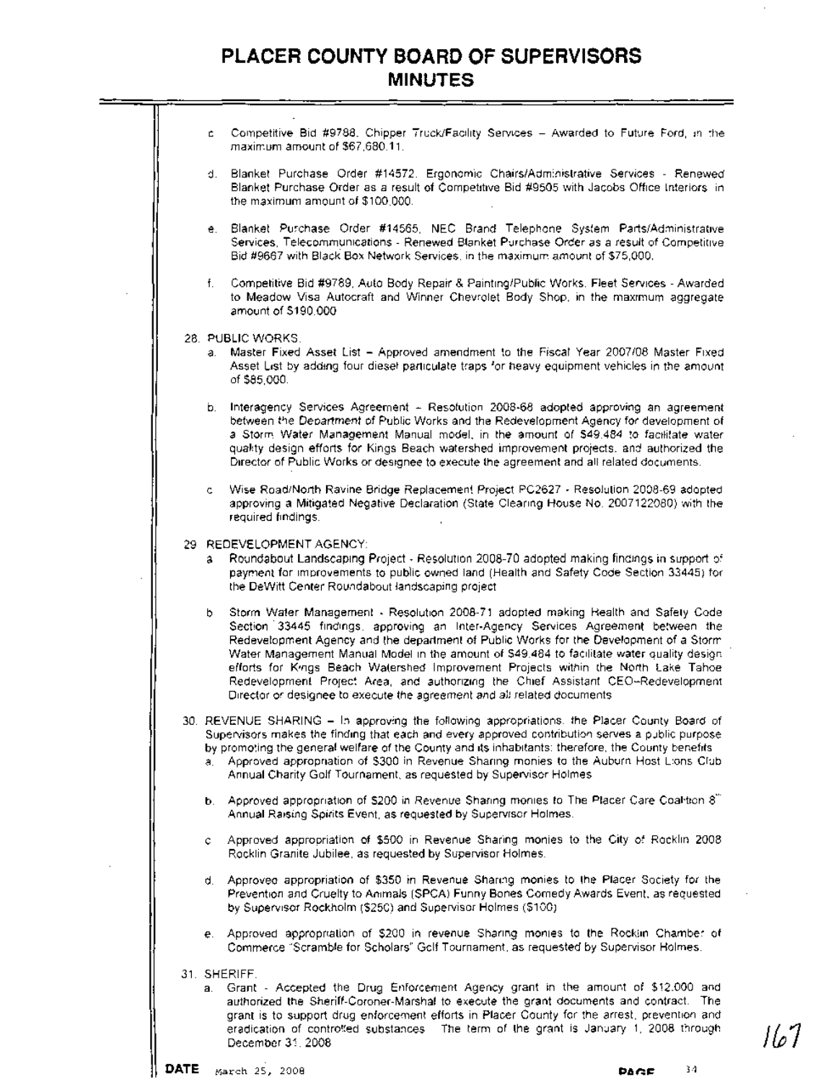c. Competitive Bid #9788, Chipper Truck/Facility Services - Awarded to Future Ford, in the maximum amount of \$67,680.11. d. Blanket Purchase Order #14572, Ergonomic Chairs/Administrative Services - Renewed Blanket Purchase Order as a result of Competitive Bid #9505 with Jacobs Office Interiors, in the maximum amount of \$100,000. e. Blanket Purchase Order #14565, NEC Brand Telephone System Parts/Administrative Services, Telecommunications - Renewed Blanket Purchase Order as a result of Competitive Bid #9667 with Black Box Network Services, in the maximum amount of \$75,000. f. Competitive Bid #9789, Auto Body Repair &Painting/Public Works, Fleet Services - Awarded to Meadow Visa Autocraft and Winner Chevrolet Body Shop, in the maximum aggregate amount of \$190,000. 28. PUBLIC WORKS: a. Master Fixed Asset List - Approved amendment to the Fiscal Year 2007/08 Master Fixed Asset List by adding four diesel particulate traps for heavy equipment vehicles in the amount of \$85,000. b. Interagency Services Agreement - Resolution 2008-68 adopted approving an agreement between the Department of Public Works and the Redevelopment Agency for development of a Storm Water Management Manual model, in the amount of \$49,484 to facilitate water quality design efforts for Kings Beach watershed improvement projects, and authorized the Director of Public Works or designee to execute the agreement and all related documents. Wise Road/North Ravine Bridge Replacement Project PC2627 - Resolution 2008-69 adopted approving a Mitigated Negative Declaration (State Clearing House No. 2007122080) with the required findings. 29. REDEVELOPMENT AGENCY: a. Roundabout Landscaping Project - Resolution 2008-70 adopted making findings in support of payment for improvements to public owned land (Health and Safety Code Section 33445) for the DeWitt Center Roundabout landscaping project. b. Storm Water Management - Resolution 2008-71 adopted making Health and Safety Code Section 33445 findings, approving an Inter-Agency Services Agreement between the Redevelopment Agency and the department of Public Works for the Development of a Storm Water Management Manual Model in the amount of \$49,484 to facilitate water quality design efforts for Kings Beach Watershed Improvement Projects within the North Lake Tahoe Redevelopment Project Area, and authorizing the Chief Assistant CEO-Redevelopment Director or designee to execute the agreement and all related documents. 30. REVENUE SHARING - In approving the following appropriations, the Placer County Board of Supervisors makes the finding that each and every approved contribution serves a public purpose by promoting the general welfare of the County and its inhabitants; therefore, the County benefits. a. Approved appropriation of \$300 in Revenue Sharing monies to the Auburn Host Lions Club Annual Charity Golf Tournament, as requested by Supervisor Holmes b. Approved appropriation of \$200 in Revenue Sharing monies to The Placer Care Coalition 8th Annual Raising Spirits Event, as requested by Supervisor Holmes c. Approved appropriation of \$500 in Revenue Sharing monies to the City of Rocklin 2008 Rocklin Granite Jubilee, as requested by Supervisor Holmes. d. Approved appropriation of \$350 in Revenue Sharing monies to the Placer Society for the Prevention and Cruelty to Animals (SPCA) Funny Bones Comedy Awards Event, as requested by Supervisor Rockholm (\$250) and Supervisor Holmes (\$100). e. Approved appropriation of \$200 in revenue Sharing monies to the Rocklin Chamber of Commerce "Scramble for Scholars" Golf Tournament, as requested by Supervisor Holmes 31. SHERIFF a. Grant - Accepted the Drug Enforcement Agency grant in the amount of \$12,000 and authorized the Sheriff-Coroner-Marshal to execute the grant documents and contract. The grant is to support drug enforcement efforts in Placer County for the arrest, prevention and eradication of contro<sup>g</sup>ed substances. The term of the grant is January 1, 2008 through  $\begin{bmatrix} 1 & 0 & 0 \\ 0 & 1 & 0 \\ 0 & 0 & 1 \end{bmatrix}$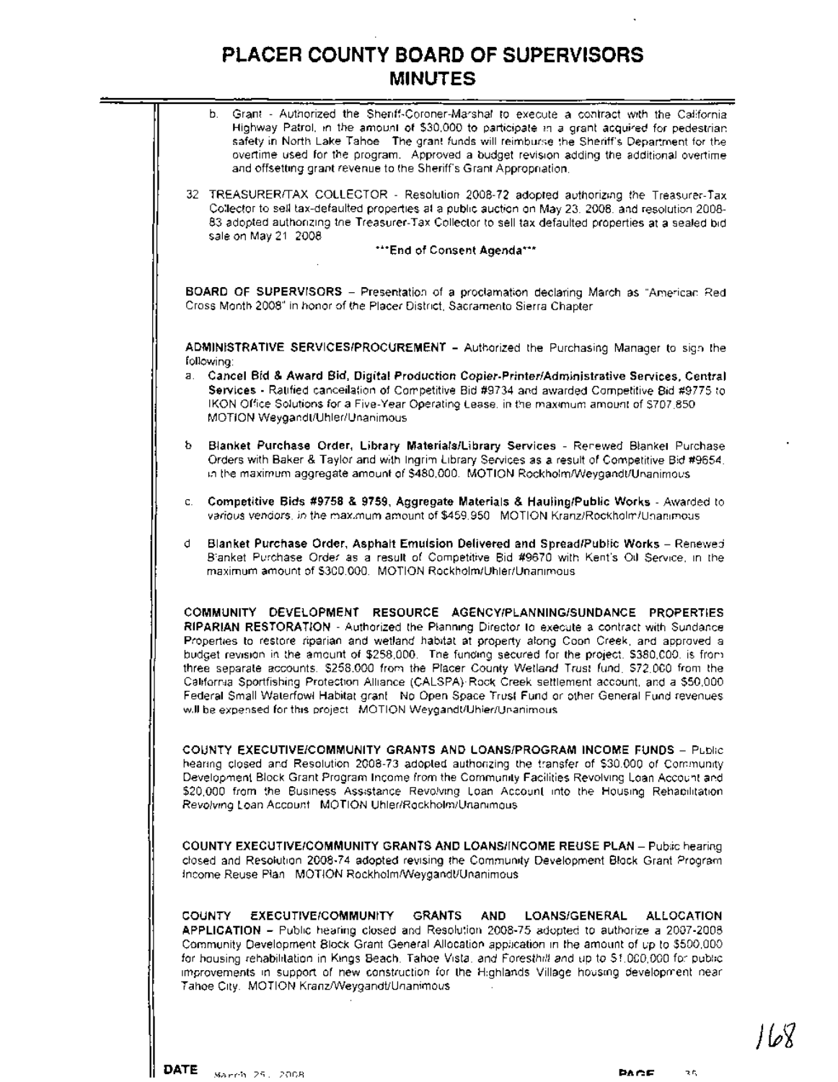

لأه ا ا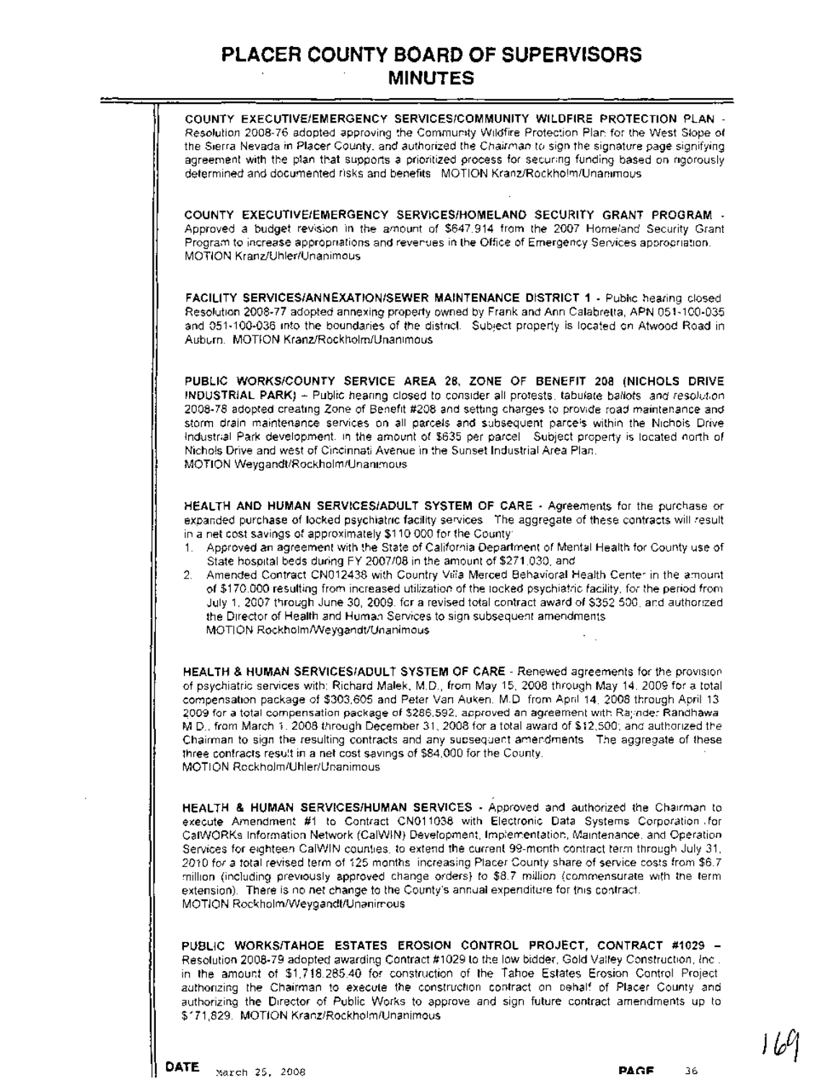**COUNTY EXECUTIVE/EMERGENCY SERVICES/COMMUNITY WILDFIRE PROTECTION PLAN** - Resolution 2008-76 adopted approving the Community Wildfire Protection Plan for the West Slope of the Sierra Nevada in Placer County, and authorized the Chairman to sign the signature page signifying agreement with the plan that supports a prioritized process for securing funding based on rigorously determined and documented risks and benefits. MOTION Kranz/Rockholm/Unanimous **COUNTY EXECUTIVE/EMERGENCY SERVICES/HOMELAND SECURITY GRANT PROGRAM** - Approved a budget revision in the amount of \$647,914 from the 2007 Homeland Security Grant Program to increaseappropriations and revenues in the Office of Emergency Services appropriation. MOTION Kranz/Uhler/Unanimous **FACILITY SERVICES/ANNEXATION/SEWER MAINTENANCE DISTRICT 1** - Public hearing closed. Resolution 2008-77 adopted annexing property owned by Frank andAnn Calabretta, APN 051-100-035 and 051-100-036 into the boundaries of the district. Subject property is located on Atwood Road in Auburn: MOTION Kranz/Rockholm/Unanimous **PUBLIC WORKS/COUNTY SERVICE AREA 28, ZONE OF BENEFIT 208 (NICHOLS DRIVE INDUSTRIAL PARK)** - Public hearing closed to consider all protests, tabulate ballots, and resolution 2008-78 adopted creating Zone of Benefit #208 and setting charges to provide road maintenance and storm drain maintenance services on all parcels and subsequent parcels within the Nichols Drive Industrial Park development, in the amount of \$635 per parcel Subject property is located north of Nichols Drive and west of Cincinnati Avenue in the Sunset Industrial Area Plan. MOTION Weygandt/Rockholm/Unanimous **HEALTH AND HUMAN SERVICES/ADULT SYSTEM OF CARE** - Agreemehts for the purchase or expanded purchase of locked psychiatric facility services. The aggregate of these contracts will result in a net cost savings of approximately \$110,000 for the County: 1. Approved an agreement with the State of California Department of Mental Health for County use of State hospital beds during FY 2007/08 in the amount of \$271,030, and 2. Amended Contract CN012438 with Country Villa Merced Behavioral Health Center in the amount of \$170,000 resulting from increased utilization of the locked psychiatric facility, for the period from July 1, 2007 through June 30, 2009, for a revised total contract award of \$352,500, and authorized the Director bf Health and Human Services to sign subsequent amendments. MOTION RockholmlWeygandt/Unanimous **HEALTH & HUMAN SERVICES/ADULT SYSTEM OF CARE** - Renewed agreements for the provision of psychiatric services with: Richard Malek, M.D., from May 15, 2008 through May 14, 2009 for a total compensation package of \$303,605 and Peter Van Auken, M.D. from April 14, 2008 through April 13,

2009 for a total compensation package of \$286,592; approved an agreement with Rajinder Randhawa, M.D., from March 1,2008 through December 31,2008 for a total award of \$12,500; and authorized the Chairman to sign the resulting contracts and any subsequent amendments. The aggregate of these three contracts result in a net cost savings of \$84,000 for the County. MOTION Rockholm/Uhler/Unanimous

**HEALTH &. HUMAN SERVICES/HUMAN SERVICES** -Approved and authorized the Chairman to execute Amendment #1 to Contract CN011038 with Electronic Data Systems Corporation. for CalWORKs Information Network (CaIWIN) Development, Implementation, Maintenance, and Operation Services for eighteen CalWIN counties, to extend the current 99-month contract term through July 31, 2010 for a total revised term of 125months, increasing Placer County share of service costs from \$6.7 million (including previously approved change orders) to \$8.7 million (commensurate with the term extension). There is no net change to the County's annual expenditure for this contract. MOTION RockholmlWeygandt/Unanimous

**PUBLIC WORKS/TAHOE ESTATES EROSION CONTROL PROJECT, CONTRACT #1029 -** Resolution 2008-79 adopted awarding Contract #1029 to the low bidder, Gold Valley Construction, Inc, in the amount of \$1,718,285.40 for construction of the Tahoe Estates Erosion Control Project, authorizing the Chairman to execute the construction contract on behalf of Placer County and authorizing the Director of Public Works to approve and sign future contract amendments up to \$171,829. MOTION Kranz/Rockholm/Unanimous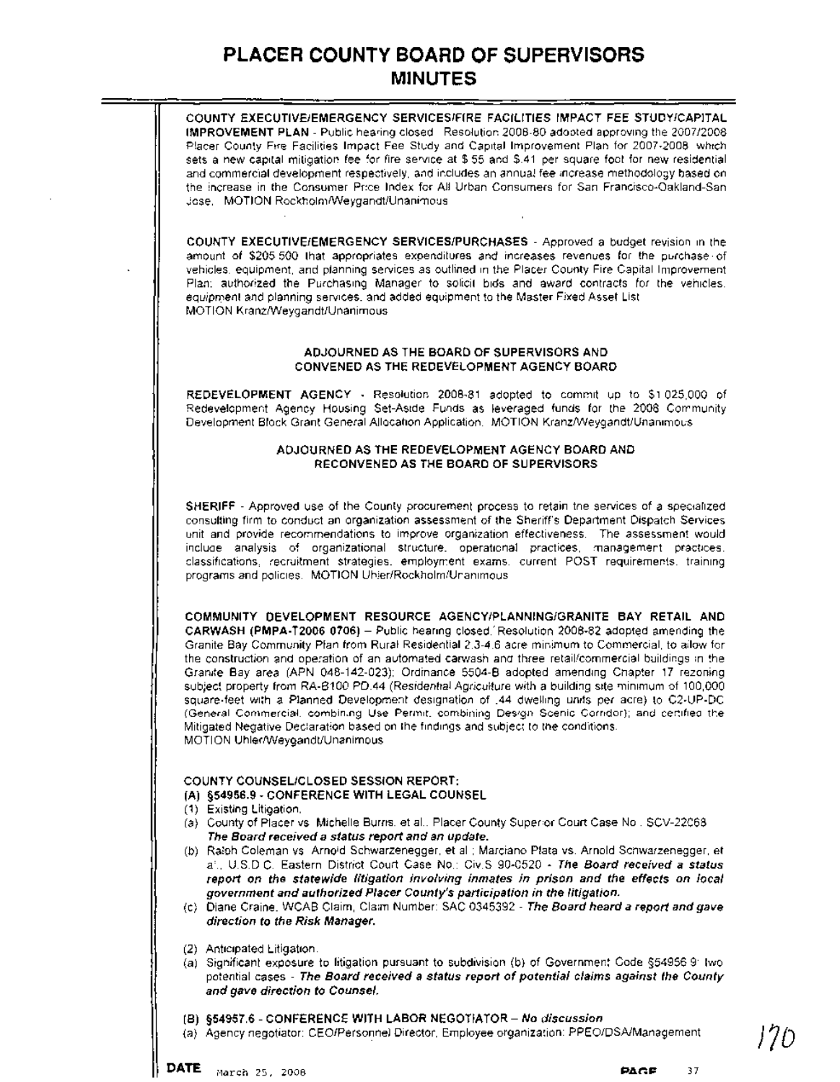

(a) Agency negotiator: CEO/Personnel Director, Employee organization: PPEO/DSAfManagement **J7D**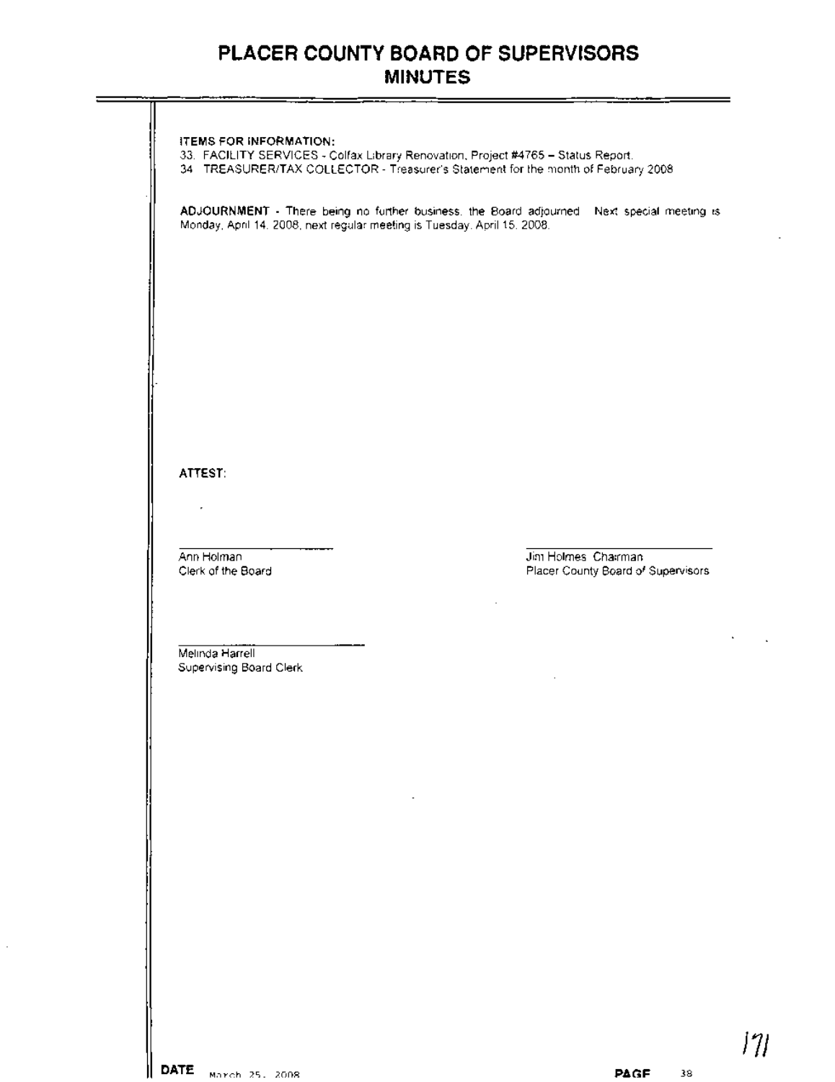|                                                                          | 34 TREASURER/TAX COLLECTOR - Treasurer's Statement for the month of February 2008.          |  |
|--------------------------------------------------------------------------|---------------------------------------------------------------------------------------------|--|
| Monday, April 14, 2008, next regular meeting is Tuesday. April 15, 2008. | ADJOURNMENT - There being no further business, the Board adjourned. Next special meeting is |  |
|                                                                          |                                                                                             |  |
|                                                                          |                                                                                             |  |
|                                                                          |                                                                                             |  |
|                                                                          |                                                                                             |  |
|                                                                          |                                                                                             |  |
|                                                                          |                                                                                             |  |
| ATTEST:                                                                  |                                                                                             |  |
|                                                                          |                                                                                             |  |
|                                                                          |                                                                                             |  |
| Ann Holman<br>Clerk of the Board                                         | Jim Holmes, Chairman<br>Placer County Board of Supervisors                                  |  |
|                                                                          |                                                                                             |  |
|                                                                          |                                                                                             |  |
| Melinda Harrell<br>Supervising Board Clerk                               |                                                                                             |  |
|                                                                          |                                                                                             |  |
|                                                                          |                                                                                             |  |
|                                                                          |                                                                                             |  |
| $\blacksquare$                                                           |                                                                                             |  |
|                                                                          |                                                                                             |  |
|                                                                          |                                                                                             |  |
|                                                                          |                                                                                             |  |
|                                                                          |                                                                                             |  |
|                                                                          |                                                                                             |  |
|                                                                          |                                                                                             |  |
|                                                                          |                                                                                             |  |
| DATE March 25, 2008                                                      | PAGE<br>38                                                                                  |  |

 $\bar{z}$